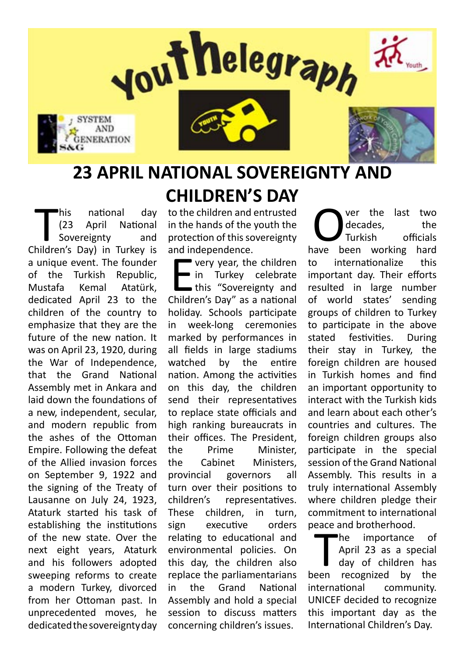

# **23 APRIL NATIONAL SOVEREIGNTY AND CHILDREN'S DAY**

This national day<br>
(23 April National Sovereignty and<br>
Children's Day) in Turkey is his national day (23 April National Sovereignty and a unique event. The founder of the Turkish Republic, Mustafa Kemal Atatürk, dedicated April 23 to the children of the country to emphasize that they are the future of the new nation. It was on April 23, 1920, during the War of Independence, that the Grand National Assembly met in Ankara and laid down the foundations of a new, independent, secular, and modern republic from the ashes of the Ottoman Empire. Following the defeat of the Allied invasion forces on September 9, 1922 and the signing of the Treaty of Lausanne on July 24, 1923, Ataturk started his task of establishing the institutions of the new state. Over the next eight years, Ataturk and his followers adopted sweeping reforms to create a modern Turkey, divorced from her Ottoman past. In unprecedented moves, he dedicated the sovereignty day

to the children and entrusted in the hands of the youth the protection of this sovereignty and independence.

 $\sum_{\text{children}}$ very year, the children in Turkey celebrate this "Sovereignty and Children's Day" as a national holiday. Schools participate in week-long ceremonies marked by performances in all fields in large stadiums watched by the entire nation. Among the activities on this day, the children send their representatives to replace state officials and high ranking bureaucrats in their offices. The President, the Prime Minister, the Cabinet Ministers, provincial governors all turn over their positions to children's representatives. These children, in turn, sign executive orders relating to educational and environmental policies. On this day, the children also replace the parliamentarians in the Grand National Assembly and hold a special session to discuss matters concerning children's issues.

**Over the last two<br>decades, the furkish officials<br>have been working hard** decades, the Turkish officials to internationalize this important day. Their efforts resulted in large number of world states' sending groups of children to Turkey to participate in the above stated festivities. During their stay in Turkey, the foreign children are housed in Turkish homes and find an important opportunity to interact with the Turkish kids and learn about each other's countries and cultures. The foreign children groups also participate in the special session of the Grand National Assembly. This results in a truly international Assembly where children pledge their commitment to international peace and brotherhood.

The importance of<br>April 23 as a special<br>day of children has<br>been recognized by the he importance of April 23 as a special day of children has international community. UNICEF decided to recognize this important day as the International Children's Day.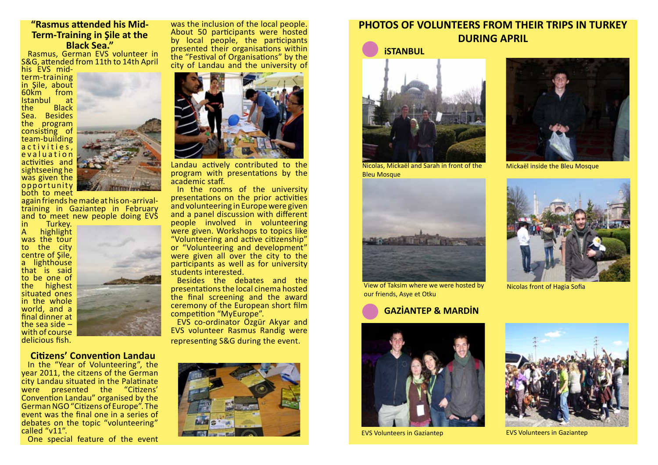#### **"Rasmus attended his Mid-Term-Training in Şile at the Black Sea."**

Rasmus, German EVS volunteer in S&G, attended from 11th to 14th April

again friends he made at his on-arrivaltraining in Gaziantep in February and to meet new people doing EVS

his EVS midterm-training in Şile, about 60km from<br>Istanbul at Istanbul<br>the **Black** Sea. Besides the program consisting of team-building a c t i v i t i e s, e v a l u a t i o n activities and sightseeing he was given the opportunity both to meet



in Turkey. highlight was the tour to the city centre of Şile, **Lighthouse** that is said to be one of the highest situated ones in the whole world, and a final dinner at the sea side – with of course delicious fish.



#### **Citizens' Convention Landau**

In the "Year of Volunteering", the year 2011, the citzens of the German city Landau situated in the Palatinate were presented the "Citizens' Convention Landau" organised by the German NGO "Citizens of Europe". The event was the final one in a series of debates on the topic "volunteering" called "v11".

One special feature of the event

was the inclusion of the local people. About 50 participants were hosted by local people, the participants presented their organisations within the "Festival of Organisations" by the city of Landau and the university of



Landau actively contributed to the program with presentations by the academic staff.

In the rooms of the university presentations on the prior activities and volunteering in Europe were given and a panel discussion with different people involved in volunteering were given. Workshops to topics like "Volunteering and active citizenship" or "Volunteering and development" were given all over the city to the participants as well as for university students interested.

Besides the debates and the presentations the local cinema hosted the final screening and the award ceremony of the European short film competition "MyEurope".

EVS co-ordinator Özgür Akyar and EVS volunteer Rasmus Randig were representing S&G during the event.



## **PHOTOS OF VOLUNTEERS FROM THEIR TRIPS IN TURKEY DURING APRIL**

 **iSTANBUL**

### **GAZİANTEP & MARDİN**



Nicolas, Mickaël and Sarah in front of the Bleu Mosque



Mickaël inside the Bleu Mosque



View of Taksim where we were hosted by our friends, Asye et Otku



Nicolas front of Hagia Sofia





EVS Volunteers in Gaziantep EVS Volunteers in Gaziantep